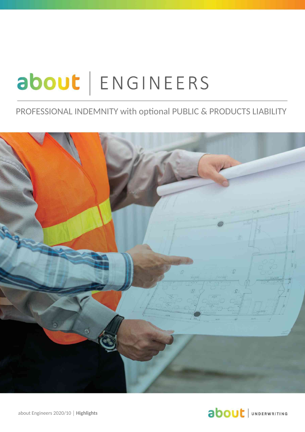# about | ENGINEERS

#### PROFESSIONAL INDEMNITY with optional PUBLIC & PRODUCTS LIABILITY





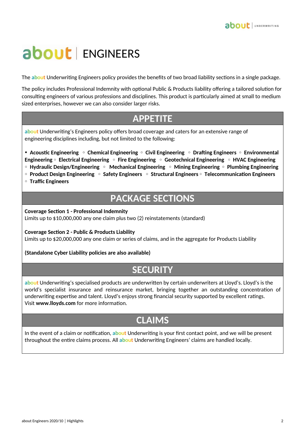## about | ENGINEERS

The **about** Underwriting Engineers policy provides the benefits of two broad liability sections in a single package.

The policy includes Professional Indemnity with optional Public & Products liability offering a tailored solution for consulting engineers of various professions and disciplines. This product is particularly aimed at small to medium sized enterprises, however we can also consider larger risks.

### **APPETITE**

**about** Underwriting's Engineers policy offers broad coverage and caters for an extensive range of engineering disciplines including, but not limited to the following:

• **Acoustic Engineering** • **Chemical Engineering** • **Civil Engineering** • **Drafting Engineers** • **Environmental Engineering** • **Electrical Engineering** • **Fire Engineering** • **Geotechnical Engineering** • **HVAC Engineering**  • **Hydraulic Design/Engineering** • **Mechanical Engineering** • **Mining Engineering** • **Plumbing Engineering** 

• **Product Design Engineering** • **Safety Engineers** • **Structural Engineers** • **Telecommunication Engineers** 

• **Traffic Engineers** 

### **PACKAGE SECTIONS**

**Coverage Section 1 - Professional Indemnity**

Limits up to \$10,000,000 any one claim plus two (2) reinstatements (standard)

**Coverage Section 2 - Public & Products Liability**

Limits up to \$20,000,000 any one claim or series of claims, and in the aggregate for Products Liability

**(Standalone Cyber Liability policies are also available)** 

#### **SECURITY**

**about** Underwriting's specialised products are underwritten by certain underwriters at Lloyd's. Lloyd's is the world's specialist insurance and reinsurance market, bringing together an outstanding concentration of underwriting expertise and talent. Lloyd's enjoys strong financial security supported by excellent ratings. Visit **www.lloyds.com** for more information.

#### **CLAIMS**

In the event of a claim or notification, **about** Underwriting is your first contact point, and we will be present throughout the entire claims process. All **about** Underwriting Engineers' claims are handled locally.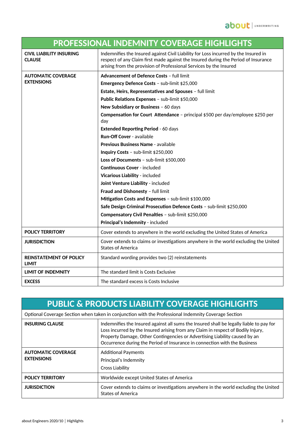| <b>PROFESSIONAL INDEMNITY COVERAGE HIGHLIGHTS</b> |                                                                                                                                                                                                                                                 |
|---------------------------------------------------|-------------------------------------------------------------------------------------------------------------------------------------------------------------------------------------------------------------------------------------------------|
| <b>CIVIL LIABILITY INSURING</b><br><b>CLAUSE</b>  | Indemnifies the Insured against Civil Liability for Loss incurred by the Insured in<br>respect of any Claim first made against the Insured during the Period of Insurance<br>arising from the provision of Professional Services by the Insured |
| <b>AUTOMATIC COVERAGE</b><br><b>EXTENSIONS</b>    | <b>Advancement of Defence Costs - full limit</b>                                                                                                                                                                                                |
|                                                   | Emergency Defence Costs - sub-limit \$25,000                                                                                                                                                                                                    |
|                                                   | Estate, Heirs, Representatives and Spouses - full limit                                                                                                                                                                                         |
|                                                   | Public Relations Expenses - sub-limit \$50,000                                                                                                                                                                                                  |
|                                                   | New Subsidiary or Business - 60 days                                                                                                                                                                                                            |
|                                                   | Compensation for Court Attendance - principal \$500 per day/employee \$250 per<br>day                                                                                                                                                           |
|                                                   | <b>Extended Reporting Period - 60 days</b>                                                                                                                                                                                                      |
|                                                   | <b>Run-Off Cover - available</b>                                                                                                                                                                                                                |
|                                                   | Previous Business Name - available                                                                                                                                                                                                              |
|                                                   | Inquiry Costs - sub-limit \$250,000                                                                                                                                                                                                             |
|                                                   | Loss of Documents - sub-limit \$500,000                                                                                                                                                                                                         |
|                                                   | <b>Continuous Cover - included</b>                                                                                                                                                                                                              |
|                                                   | Vicarious Liability - included                                                                                                                                                                                                                  |
|                                                   | Joint Venture Liability - included                                                                                                                                                                                                              |
|                                                   | Fraud and Dishonesty - full limit                                                                                                                                                                                                               |
|                                                   | Mitigation Costs and Expenses - sub-limit \$100,000                                                                                                                                                                                             |
|                                                   | Safe Design Criminal Prosecution Defence Costs - sub-limit \$250,000                                                                                                                                                                            |
|                                                   | Compensatory Civil Penalties - sub-limit \$250,000                                                                                                                                                                                              |
|                                                   | Principal's Indemnity - included                                                                                                                                                                                                                |
| <b>POLICY TERRITORY</b>                           | Cover extends to anywhere in the world excluding the United States of America                                                                                                                                                                   |
| <b>JURISDICTION</b>                               | Cover extends to claims or investigations anywhere in the world excluding the United<br><b>States of America</b>                                                                                                                                |
| <b>REINSTATEMENT OF POLICY</b><br><b>LIMIT</b>    | Standard wording provides two (2) reinstatements                                                                                                                                                                                                |
| <b>LIMIT OF INDEMNITY</b>                         | The standard limit is Costs Exclusive                                                                                                                                                                                                           |
| <b>EXCESS</b>                                     | The standard excess is Costs Inclusive                                                                                                                                                                                                          |

| <b>PUBLIC &amp; PRODUCTS LIABILITY COVERAGE HIGHLIGHTS</b>                                           |                                                                                                                                                                                                                                                                                                                                        |
|------------------------------------------------------------------------------------------------------|----------------------------------------------------------------------------------------------------------------------------------------------------------------------------------------------------------------------------------------------------------------------------------------------------------------------------------------|
| Optional Coverage Section when taken in conjunction with the Professional Indemnity Coverage Section |                                                                                                                                                                                                                                                                                                                                        |
| <b>INSURING CLAUSE</b>                                                                               | Indemnifies the Insured against all sums the Insured shall be legally liable to pay for<br>Loss incurred by the Insured arising from any Claim in respect of Bodily Injury,<br>Property Damage, Other Contingencies or Advertising Liability caused by an<br>Occurrence during the Period of Insurance in connection with the Business |
| <b>AUTOMATIC COVERAGE</b><br><b>EXTENSIONS</b>                                                       | <b>Additional Payments</b><br>Principal's Indemnity<br><b>Cross Liability</b>                                                                                                                                                                                                                                                          |
| <b>POLICY TERRITORY</b>                                                                              | Worldwide except United States of America                                                                                                                                                                                                                                                                                              |
| <b>JURISDICTION</b>                                                                                  | Cover extends to claims or investigations anywhere in the world excluding the United<br><b>States of America</b>                                                                                                                                                                                                                       |